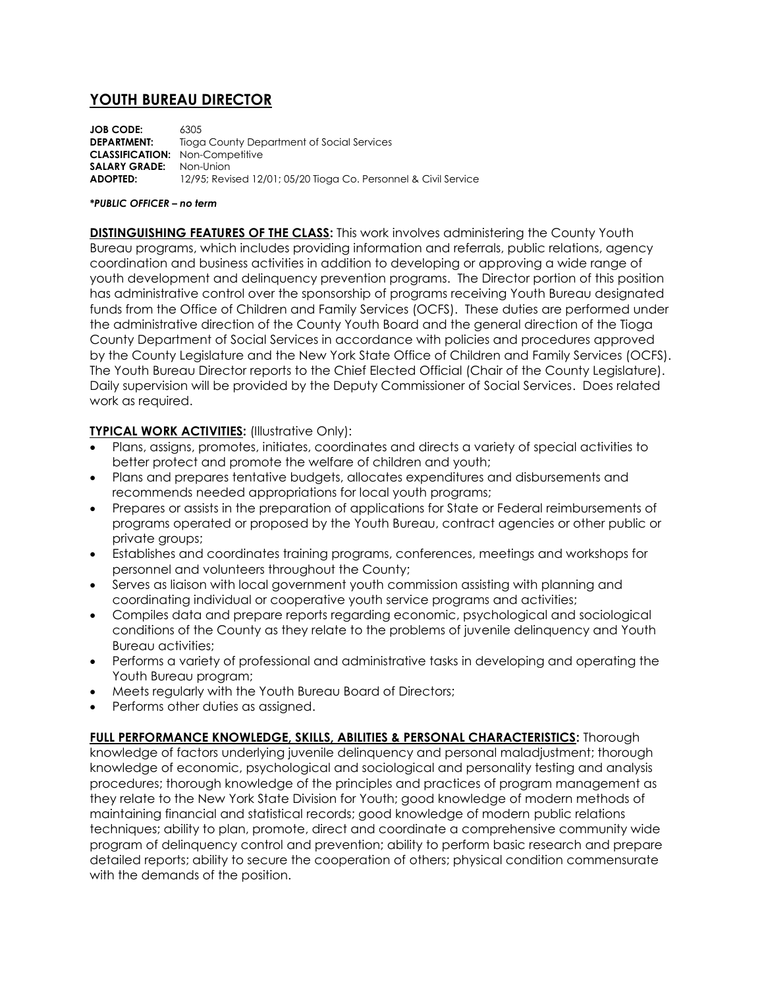## **YOUTH BUREAU DIRECTOR**

**JOB CODE:** 6305 **DEPARTMENT:** Tioga County Department of Social Services **CLASSIFICATION:** Non-Competitive **SALARY GRADE:** Non-Union **ADOPTED:** 12/95; Revised 12/01; 05/20 Tioga Co. Personnel & Civil Service

## *\*PUBLIC OFFICER – no term*

**DISTINGUISHING FEATURES OF THE CLASS:** This work involves administering the County Youth Bureau programs, which includes providing information and referrals, public relations, agency coordination and business activities in addition to developing or approving a wide range of youth development and delinquency prevention programs. The Director portion of this position has administrative control over the sponsorship of programs receiving Youth Bureau designated funds from the Office of Children and Family Services (OCFS). These duties are performed under the administrative direction of the County Youth Board and the general direction of the Tioga County Department of Social Services in accordance with policies and procedures approved by the County Legislature and the New York State Office of Children and Family Services (OCFS). The Youth Bureau Director reports to the Chief Elected Official (Chair of the County Legislature). Daily supervision will be provided by the Deputy Commissioner of Social Services. Does related work as required.

## **TYPICAL WORK ACTIVITIES:** (Illustrative Only):

- Plans, assigns, promotes, initiates, coordinates and directs a variety of special activities to better protect and promote the welfare of children and youth;
- Plans and prepares tentative budgets, allocates expenditures and disbursements and recommends needed appropriations for local youth programs;
- Prepares or assists in the preparation of applications for State or Federal reimbursements of programs operated or proposed by the Youth Bureau, contract agencies or other public or private groups;
- Establishes and coordinates training programs, conferences, meetings and workshops for personnel and volunteers throughout the County;
- Serves as liaison with local government youth commission assisting with planning and coordinating individual or cooperative youth service programs and activities;
- Compiles data and prepare reports regarding economic, psychological and sociological conditions of the County as they relate to the problems of juvenile delinquency and Youth Bureau activities;
- Performs a variety of professional and administrative tasks in developing and operating the Youth Bureau program;
- Meets regularly with the Youth Bureau Board of Directors;
- Performs other duties as assigned.

**FULL PERFORMANCE KNOWLEDGE, SKILLS, ABILITIES & PERSONAL CHARACTERISTICS:** Thorough knowledge of factors underlying juvenile delinquency and personal maladjustment; thorough knowledge of economic, psychological and sociological and personality testing and analysis procedures; thorough knowledge of the principles and practices of program management as they relate to the New York State Division for Youth; good knowledge of modern methods of maintaining financial and statistical records; good knowledge of modern public relations techniques; ability to plan, promote, direct and coordinate a comprehensive community wide program of delinquency control and prevention; ability to perform basic research and prepare detailed reports; ability to secure the cooperation of others; physical condition commensurate with the demands of the position.